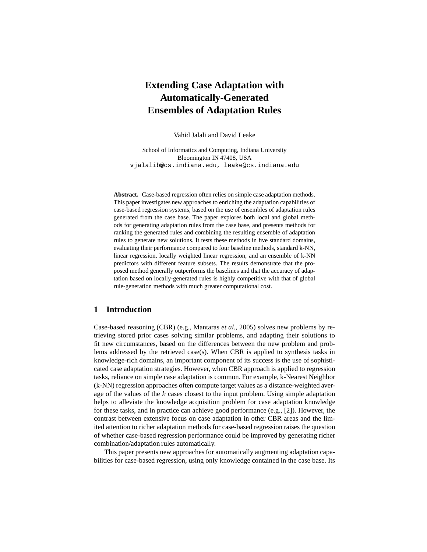# **Extending Case Adaptation with Automatically-Generated Ensembles of Adaptation Rules**

Vahid Jalali and David Leake

School of Informatics and Computing, Indiana University Bloomington IN 47408, USA vjalalib@cs.indiana.edu, leake@cs.indiana.edu

**Abstract.** Case-based regression often relies on simple case adaptation methods. This paper investigates new approaches to enriching the adaptation capabilities of case-based regression systems, based on the use of ensembles of adaptation rules generated from the case base. The paper explores both local and global methods for generating adaptation rules from the case base, and presents methods for ranking the generated rules and combining the resulting ensemble of adaptation rules to generate new solutions. It tests these methods in five standard domains, evaluating their performance compared to four baseline methods, standard k-NN, linear regression, locally weighted linear regression, and an ensemble of k-NN predictors with different feature subsets. The results demonstrate that the proposed method generally outperforms the baselines and that the accuracy of adaptation based on locally-generated rules is highly competitive with that of global rule-generation methods with much greater computational cost.

## **1 Introduction**

Case-based reasoning (CBR) (e.g., Mantaras *et al.*, 2005) solves new problems by retrieving stored prior cases solving similar problems, and adapting their solutions to fit new circumstances, based on the differences between the new problem and problems addressed by the retrieved case(s). When CBR is applied to synthesis tasks in knowledge-rich domains, an important component of its success is the use of sophisticated case adaptation strategies. However, when CBR approach is applied to regression tasks, reliance on simple case adaptation is common. For example, k-Nearest Neighbor (k-NN) regression approaches often compute target values as a distance-weighted average of the values of the  $k$  cases closest to the input problem. Using simple adaptation helps to alleviate the knowledge acquisition problem for case adaptation knowledge for these tasks, and in practice can achieve good performance (e.g., [2]). However, the contrast between extensive focus on case adaptation in other CBR areas and the limited attention to richer adaptation methods for case-based regression raises the question of whether case-based regression performance could be improved by generating richer combination/adaptation rules automatically.

This paper presents new approaches for automatically augmenting adaptation capabilities for case-based regression, using only knowledge contained in the case base. Its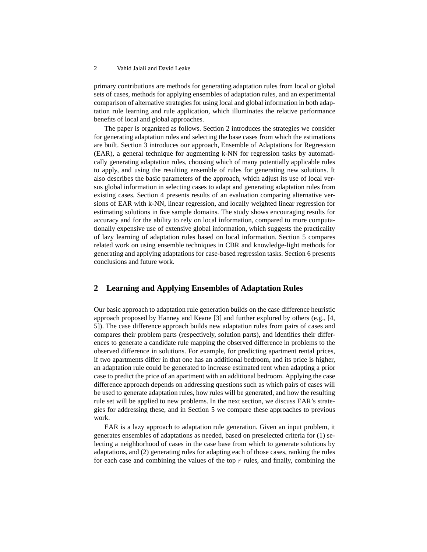primary contributions are methods for generating adaptation rules from local or global sets of cases, methods for applying ensembles of adaptation rules, and an experimental comparison of alternative strategies for using local and global information in both adaptation rule learning and rule application, which illuminates the relative performance benefits of local and global approaches.

The paper is organized as follows. Section 2 introduces the strategies we consider for generating adaptation rules and selecting the base cases from which the estimations are built. Section 3 introduces our approach, Ensemble of Adaptations for Regression (EAR), a general technique for augmenting k-NN for regression tasks by automatically generating adaptation rules, choosing which of many potentially applicable rules to apply, and using the resulting ensemble of rules for generating new solutions. It also describes the basic parameters of the approach, which adjust its use of local versus global information in selecting cases to adapt and generating adaptation rules from existing cases. Section 4 presents results of an evaluation comparing alternative versions of EAR with k-NN, linear regression, and locally weighted linear regression for estimating solutions in five sample domains. The study shows encouraging results for accuracy and for the ability to rely on local information, compared to more computationally expensive use of extensive global information, which suggests the practicality of lazy learning of adaptation rules based on local information. Section 5 compares related work on using ensemble techniques in CBR and knowledge-light methods for generating and applying adaptations for case-based regression tasks. Section 6 presents conclusions and future work.

# **2 Learning and Applying Ensembles of Adaptation Rules**

Our basic approach to adaptation rule generation builds on the case difference heuristic approach proposed by Hanney and Keane [3] and further explored by others (e.g., [4, 5]). The case difference approach builds new adaptation rules from pairs of cases and compares their problem parts (respectively, solution parts), and identifies their differences to generate a candidate rule mapping the observed difference in problems to the observed difference in solutions. For example, for predicting apartment rental prices, if two apartments differ in that one has an additional bedroom, and its price is higher, an adaptation rule could be generated to increase estimated rent when adapting a prior case to predict the price of an apartment with an additional bedroom. Applying the case difference approach depends on addressing questions such as which pairs of cases will be used to generate adaptation rules, how rules will be generated, and how the resulting rule set will be applied to new problems. In the next section, we discuss EAR's strategies for addressing these, and in Section 5 we compare these approaches to previous work.

EAR is a lazy approach to adaptation rule generation. Given an input problem, it generates ensembles of adaptations as needed, based on preselected criteria for (1) selecting a neighborhood of cases in the case base from which to generate solutions by adaptations, and (2) generating rules for adapting each of those cases, ranking the rules for each case and combining the values of the top  $r$  rules, and finally, combining the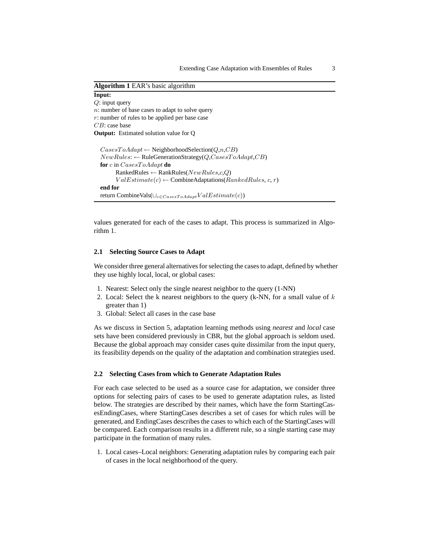**Algorithm 1** EAR's basic algorithm **Input:** Q: input query n: number of base cases to adapt to solve query r: number of rules to be applied per base case CB: case base **Output:** Estimated solution value for Q  $\text{CasesToAdapt} \leftarrow \text{NeighbourhoodSelection}(Q, n, CB)$  $NewRules: \leftarrow RuleGenerationStrategy(Q, CasesToAdapter, CB)$ for c in CasesToAdapt do  $RankedRules \leftarrow RankRules(NewRules,c,Q)$  $ValEstimate(c) \leftarrow$  CombineAdaptations(*RankedRules, c, r*) **end for** return CombineVals( $\cup_{c \in CasesToAdapt}ValEstimate(c)$ )

values generated for each of the cases to adapt. This process is summarized in Algorithm 1.

## **2.1 Selecting Source Cases to Adapt**

We consider three general alternatives for selecting the cases to adapt, defined by whether they use highly local, local, or global cases:

- 1. Nearest: Select only the single nearest neighbor to the query (1-NN)
- 2. Local: Select the k nearest neighbors to the query (k-NN, for a small value of  $k$ greater than 1)
- 3. Global: Select all cases in the case base

As we discuss in Section 5, adaptation learning methods using *nearest* and *local* case sets have been considered previously in CBR, but the global approach is seldom used. Because the global approach may consider cases quite dissimilar from the input query, its feasibility depends on the quality of the adaptation and combination strategies used.

#### **2.2 Selecting Cases from which to Generate Adaptation Rules**

For each case selected to be used as a source case for adaptation, we consider three options for selecting pairs of cases to be used to generate adaptation rules, as listed below. The strategies are described by their names, which have the form StartingCasesEndingCases, where StartingCases describes a set of cases for which rules will be generated, and EndingCases describes the cases to which each of the StartingCases will be compared. Each comparison results in a different rule, so a single starting case may participate in the formation of many rules.

1. Local cases–Local neighbors: Generating adaptation rules by comparing each pair of cases in the local neighborhood of the query.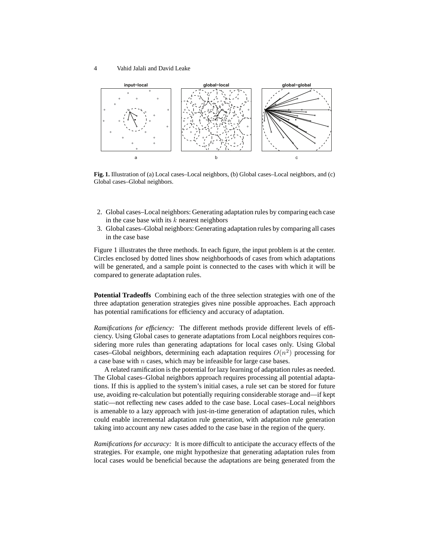

**Fig. 1.** Illustration of (a) Local cases–Local neighbors, (b) Global cases–Local neighbors, and (c) Global cases–Global neighbors.

- 2. Global cases–Local neighbors: Generating adaptation rules by comparing each case in the case base with its  $k$  nearest neighbors
- 3. Global cases–Global neighbors: Generating adaptation rules by comparing all cases in the case base

Figure 1 illustrates the three methods. In each figure, the input problem is at the center. Circles enclosed by dotted lines show neighborhoods of cases from which adaptations will be generated, and a sample point is connected to the cases with which it will be compared to generate adaptation rules.

**Potential Tradeoffs** Combining each of the three selection strategies with one of the three adaptation generation strategies gives nine possible approaches. Each approach has potential ramifications for efficiency and accuracy of adaptation.

*Ramifications for efficiency:* The different methods provide different levels of efficiency. Using Global cases to generate adaptations from Local neighbors requires considering more rules than generating adaptations for local cases only. Using Global cases–Global neighbors, determining each adaptation requires  $O(n^2)$  processing for a case base with  $n$  cases, which may be infeasible for large case bases.

A related ramification is the potential for lazy learning of adaptation rules as needed. The Global cases–Global neighbors approach requires processing all potential adaptations. If this is applied to the system's initial cases, a rule set can be stored for future use, avoiding re-calculation but potentially requiring considerable storage and—if kept static—not reflecting new cases added to the case base. Local cases–Local neighbors is amenable to a lazy approach with just-in-time generation of adaptation rules, which could enable incremental adaptation rule generation, with adaptation rule generation taking into account any new cases added to the case base in the region of the query.

*Ramifications for accuracy:* It is more difficult to anticipate the accuracy effects of the strategies. For example, one might hypothesize that generating adaptation rules from local cases would be beneficial because the adaptations are being generated from the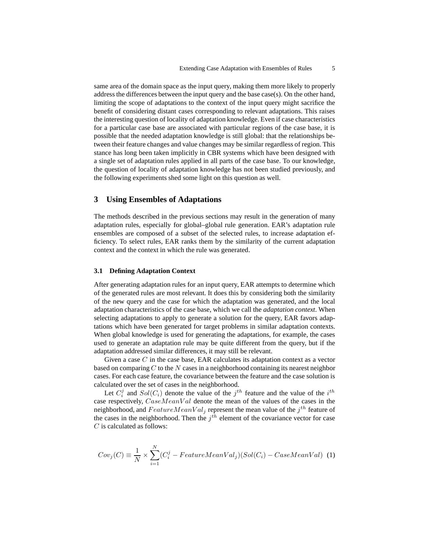same area of the domain space as the input query, making them more likely to properly address the differences between the input query and the base  $case(s)$ . On the other hand, limiting the scope of adaptations to the context of the input query might sacrifice the benefit of considering distant cases corresponding to relevant adaptations. This raises the interesting question of locality of adaptation knowledge. Even if case characteristics for a particular case base are associated with particular regions of the case base, it is possible that the needed adaptation knowledge is still global: that the relationships between their feature changes and value changes may be similar regardless of region. This stance has long been taken implicitly in CBR systems which have been designed with a single set of adaptation rules applied in all parts of the case base. To our knowledge, the question of locality of adaptation knowledge has not been studied previously, and the following experiments shed some light on this question as well.

## **3 Using Ensembles of Adaptations**

The methods described in the previous sections may result in the generation of many adaptation rules, especially for global–global rule generation. EAR's adaptation rule ensembles are composed of a subset of the selected rules, to increase adaptation efficiency. To select rules, EAR ranks them by the similarity of the current adaptation context and the context in which the rule was generated.

#### **3.1 Defining Adaptation Context**

After generating adaptation rules for an input query, EAR attempts to determine which of the generated rules are most relevant. It does this by considering both the similarity of the new query and the case for which the adaptation was generated, and the local adaptation characteristics of the case base, which we call the *adaptation context*. When selecting adaptations to apply to generate a solution for the query, EAR favors adaptations which have been generated for target problems in similar adaptation contexts. When global knowledge is used for generating the adaptations, for example, the cases used to generate an adaptation rule may be quite different from the query, but if the adaptation addressed similar differences, it may still be relevant.

Given a case  $C$  in the case base, EAR calculates its adaptation context as a vector based on comparing  $C$  to the  $N$  cases in a neighborhood containing its nearest neighbor cases. For each case feature, the covariance between the feature and the case solution is calculated over the set of cases in the neighborhood.

Let  $C_i^j$  and  $Sol(C_i)$  denote the value of the  $j^{th}$  feature and the value of the  $i^{th}$ case respectively,  $CaseMeanVal$  denote the mean of the values of the cases in the neighborhood, and  $FeatureMeanVal_j$  represent the mean value of the  $j<sup>th</sup>$  feature of the cases in the neighborhood. Then the  $j<sup>th</sup>$  element of the covariance vector for case C is calculated as follows:

$$
Cov_j(C) \equiv \frac{1}{N} \times \sum_{i=1}^{N} (C_i^j - FeatureMeanVal_j)(Sol(C_i) - CaseMeanVal) \tag{1}
$$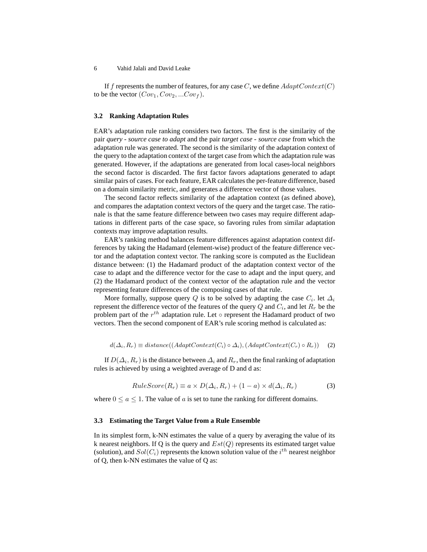If f represents the number of features, for any case C, we define  $AdaptContext(C)$ to be the vector  $(Cov_1, Cov_2, ... Cov_f)$ .

#### **3.2 Ranking Adaptation Rules**

EAR's adaptation rule ranking considers two factors. The first is the similarity of the pair *query - source case to adapt* and the pair *target case - source case* from which the adaptation rule was generated. The second is the similarity of the adaptation context of the query to the adaptation context of the target case from which the adaptation rule was generated. However, if the adaptations are generated from local cases-local neighbors the second factor is discarded. The first factor favors adaptations generated to adapt similar pairs of cases. For each feature, EAR calculates the per-feature difference, based on a domain similarity metric, and generates a difference vector of those values.

The second factor reflects similarity of the adaptation context (as defined above), and compares the adaptation context vectors of the query and the target case. The rationale is that the same feature difference between two cases may require different adaptations in different parts of the case space, so favoring rules from similar adaptation contexts may improve adaptation results.

EAR's ranking method balances feature differences against adaptation context differences by taking the Hadamard (element-wise) product of the feature difference vector and the adaptation context vector. The ranking score is computed as the Euclidean distance between: (1) the Hadamard product of the adaptation context vector of the case to adapt and the difference vector for the case to adapt and the input query, and (2) the Hadamard product of the context vector of the adaptation rule and the vector representing feature differences of the composing cases of that rule.

More formally, suppose query Q is to be solved by adapting the case  $C_i$ . let  $\Delta_i$ represent the difference vector of the features of the query  $Q$  and  $C_i$ , and let  $R_r$  be the problem part of the  $r^{th}$  adaptation rule. Let  $\circ$  represent the Hadamard product of two vectors. Then the second component of EAR's rule scoring method is calculated as:

$$
d(\Delta_i, R_r) \equiv distance((AdaptContext(C_i) \circ \Delta_i), (AdaptContext(C_r) \circ R_r))
$$
 (2)

If  $D(\Delta_i,R_r)$  is the distance between  $\Delta_i$  and  $R_r$ , then the final ranking of adaptation rules is achieved by using a weighted average of D and d as:

$$
RuleScore(R_r) \equiv a \times D(\Delta_i, R_r) + (1 - a) \times d(\Delta_i, R_r)
$$
\n(3)

where  $0 \le a \le 1$ . The value of a is set to tune the ranking for different domains.

#### **3.3 Estimating the Target Value from a Rule Ensemble**

In its simplest form, k-NN estimates the value of a query by averaging the value of its k nearest neighbors. If Q is the query and  $Est(Q)$  represents its estimated target value (solution), and  $Sol(C_i)$  represents the known solution value of the  $i^{th}$  nearest neighbor of Q, then k-NN estimates the value of Q as: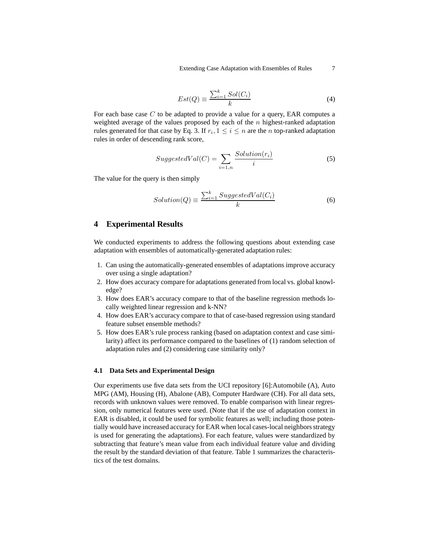Extending Case Adaptation with Ensembles of Rules 7

$$
Est(Q) \equiv \frac{\sum_{i=1}^{k} Sol(C_i)}{k} \tag{4}
$$

For each base case  $C$  to be adapted to provide a value for a query, EAR computes a weighted average of the values proposed by each of the  $n$  highest-ranked adaptation rules generated for that case by Eq. 3. If  $r_i, 1 \leq i \leq n$  are the *n* top-ranked adaptation rules in order of descending rank score,

$$
SuggestedVal(C) = \sum_{i=1,n} \frac{Solution(r_i)}{i}
$$
 (5)

The value for the query is then simply

$$
Solution(Q) \equiv \frac{\sum_{i=1}^{k} SuggestedVal(C_i)}{k}
$$
 (6)

## **4 Experimental Results**

We conducted experiments to address the following questions about extending case adaptation with ensembles of automatically-generated adaptation rules:

- 1. Can using the automatically-generated ensembles of adaptations improve accuracy over using a single adaptation?
- 2. How does accuracy compare for adaptations generated from local vs. global knowledge?
- 3. How does EAR's accuracy compare to that of the baseline regression methods locally weighted linear regression and k-NN?
- 4. How does EAR's accuracy compare to that of case-based regression using standard feature subset ensemble methods?
- 5. How does EAR's rule process ranking (based on adaptation context and case similarity) affect its performance compared to the baselines of (1) random selection of adaptation rules and (2) considering case similarity only?

## **4.1 Data Sets and Experimental Design**

Our experiments use five data sets from the UCI repository [6]:Automobile (A), Auto MPG (AM), Housing (H), Abalone (AB), Computer Hardware (CH). For all data sets, records with unknown values were removed. To enable comparison with linear regression, only numerical features were used. (Note that if the use of adaptation context in EAR is disabled, it could be used for symbolic features as well; including those potentially would have increased accuracy for EAR when local cases-local neighbors strategy is used for generating the adaptations). For each feature, values were standardized by subtracting that feature's mean value from each individual feature value and dividing the result by the standard deviation of that feature. Table 1 summarizes the characteristics of the test domains.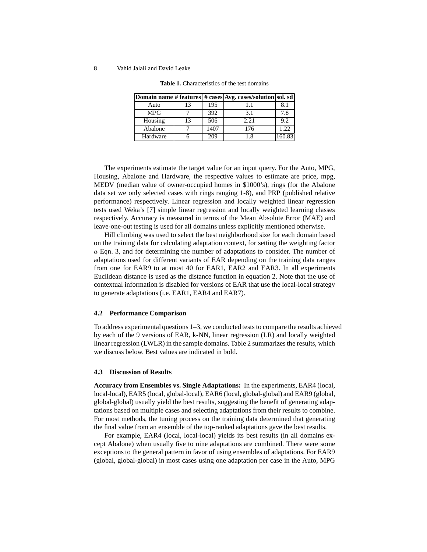|            |    |      | Domain name # features # cases Avg. cases/solution sol. sd |        |
|------------|----|------|------------------------------------------------------------|--------|
| Auto       | 13 | 195  |                                                            | 8.1    |
| <b>MPG</b> |    | 392  | 3.1                                                        | 7.8    |
| Housing    | 13 | 506  | 2.21                                                       | 9.2    |
| Abalone    |    | 1407 | 176                                                        | 1.22   |
| Hardware   |    | 209  | 1.8                                                        | 160.83 |

**Table 1.** Characteristics of the test domains

The experiments estimate the target value for an input query. For the Auto, MPG, Housing, Abalone and Hardware, the respective values to estimate are price, mpg, MEDV (median value of owner-occupied homes in \$1000's), rings (for the Abalone data set we only selected cases with rings ranging 1-8), and PRP (published relative performance) respectively. Linear regression and locally weighted linear regression tests used Weka's [7] simple linear regression and locally weighted learning classes respectively. Accuracy is measured in terms of the Mean Absolute Error (MAE) and leave-one-out testing is used for all domains unless explicitly mentioned otherwise.

Hill climbing was used to select the best neighborhood size for each domain based on the training data for calculating adaptation context, for setting the weighting factor a Eqn. 3, and for determining the number of adaptations to consider. The number of adaptations used for different variants of EAR depending on the training data ranges from one for EAR9 to at most 40 for EAR1, EAR2 and EAR3. In all experiments Euclidean distance is used as the distance function in equation 2. Note that the use of contextual information is disabled for versions of EAR that use the local-local strategy to generate adaptations (i.e. EAR1, EAR4 and EAR7).

#### **4.2 Performance Comparison**

To address experimental questions 1–3, we conducted tests to compare the results achieved by each of the 9 versions of EAR, k-NN, linear regression (LR) and locally weighted linear regression (LWLR) in the sample domains. Table 2 summarizes the results, which we discuss below. Best values are indicated in bold.

## **4.3 Discussion of Results**

**Accuracy from Ensembles vs. Single Adaptations:** In the experiments, EAR4 (local, local-local), EAR5 (local, global-local), EAR6 (local, global-global) and EAR9 (global, global-global) usually yield the best results, suggesting the benefit of generating adaptations based on multiple cases and selecting adaptations from their results to combine. For most methods, the tuning process on the training data determined that generating the final value from an ensemble of the top-ranked adaptations gave the best results.

For example, EAR4 (local, local-local) yields its best results (in all domains except Abalone) when usually five to nine adaptations are combined. There were some exceptions to the general pattern in favor of using ensembles of adaptations. For EAR9 (global, global-global) in most cases using one adaptation per case in the Auto, MPG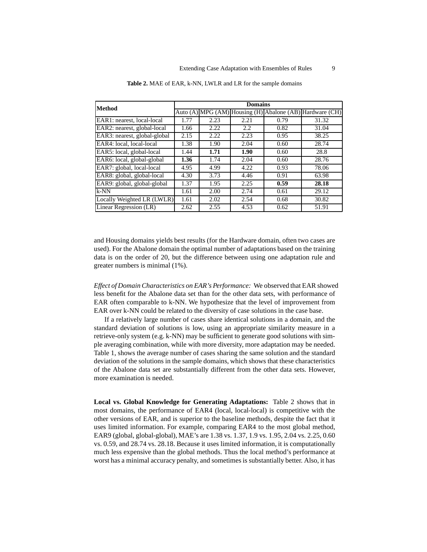| Method                       | <b>Domains</b> |      |      |      |                                                          |  |
|------------------------------|----------------|------|------|------|----------------------------------------------------------|--|
|                              |                |      |      |      | Auto (A) MPG (AM) Housing (H) Abalone (AB) Hardware (CH) |  |
| EAR1: nearest, local-local   | 1.77           | 2.23 | 2.21 | 0.79 | 31.32                                                    |  |
| EAR2: nearest, global-local  | 1.66           | 2.22 | 2.2  | 0.82 | 31.04                                                    |  |
| EAR3: nearest, global-global | 2.15           | 2.22 | 2.23 | 0.95 | 38.25                                                    |  |
| EAR4: local, local-local     | 1.38           | 1.90 | 2.04 | 0.60 | 28.74                                                    |  |
| EAR5: local, global-local    | 1.44           | 1.71 | 1.90 | 0.60 | 28.8                                                     |  |
| EAR6: local, global-global   | 1.36           | 1.74 | 2.04 | 0.60 | 28.76                                                    |  |
| EAR7: global, local-local    | 4.95           | 4.99 | 4.22 | 0.93 | 78.06                                                    |  |
| EAR8: global, global-local   | 4.30           | 3.73 | 4.46 | 0.91 | 63.98                                                    |  |
| EAR9: global, global-global  | 1.37           | 1.95 | 2.25 | 0.59 | 28.18                                                    |  |
| k-NN                         | 1.61           | 2.00 | 2.74 | 0.61 | 29.12                                                    |  |
| Locally Weighted LR (LWLR)   | 1.61           | 2.02 | 2.54 | 0.68 | 30.82                                                    |  |
| Linear Regression (LR)       | 2.62           | 2.55 | 4.53 | 0.62 | 51.91                                                    |  |

**Table 2.** MAE of EAR, k-NN, LWLR and LR for the sample domains

and Housing domains yields best results (for the Hardware domain, often two cases are used). For the Abalone domain the optimal number of adaptations based on the training data is on the order of 20, but the difference between using one adaptation rule and greater numbers is minimal (1%).

*Effect of Domain Characteristics on EAR's Performance:* We observed that EAR showed less benefit for the Abalone data set than for the other data sets, with performance of EAR often comparable to k-NN. We hypothesize that the level of improvement from EAR over k-NN could be related to the diversity of case solutions in the case base.

If a relatively large number of cases share identical solutions in a domain, and the standard deviation of solutions is low, using an appropriate similarity measure in a retrieve-only system (e.g. k-NN) may be sufficient to generate good solutions with simple averaging combination, while with more diversity, more adaptation may be needed. Table 1, shows the average number of cases sharing the same solution and the standard deviation of the solutions in the sample domains, which shows that these characteristics of the Abalone data set are substantially different from the other data sets. However, more examination is needed.

**Local vs. Global Knowledge for Generating Adaptations:** Table 2 shows that in most domains, the performance of EAR4 (local, local-local) is competitive with the other versions of EAR, and is superior to the baseline methods, despite the fact that it uses limited information. For example, comparing EAR4 to the most global method, EAR9 (global, global-global), MAE's are 1.38 vs. 1.37, 1.9 vs. 1.95, 2.04 vs. 2.25, 0.60 vs. 0.59, and 28.74 vs. 28.18. Because it uses limited information, it is computationally much less expensive than the global methods. Thus the local method's performance at worst has a minimal accuracy penalty, and sometimes is substantially better. Also, it has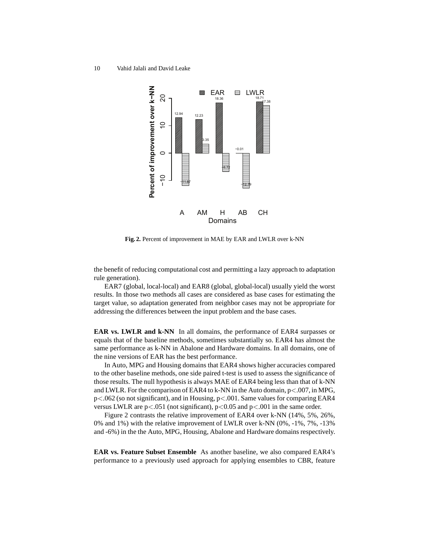

**Fig. 2.** Percent of improvement in MAE by EAR and LWLR over k-NN

the benefit of reducing computational cost and permitting a lazy approach to adaptation rule generation).

EAR7 (global, local-local) and EAR8 (global, global-local) usually yield the worst results. In those two methods all cases are considered as base cases for estimating the target value, so adaptation generated from neighbor cases may not be appropriate for addressing the differences between the input problem and the base cases.

**EAR vs. LWLR and k-NN** In all domains, the performance of EAR4 surpasses or equals that of the baseline methods, sometimes substantially so. EAR4 has almost the same performance as k-NN in Abalone and Hardware domains. In all domains, one of the nine versions of EAR has the best performance.

In Auto, MPG and Housing domains that EAR4 shows higher accuracies compared to the other baseline methods, one side paired t-test is used to assess the significance of those results. The null hypothesis is always MAE of EAR4 being less than that of k-NN and LWLR. For the comparison of EAR4 to k-NN in the Auto domain, p<.007, in MPG, p<.062 (so not significant), and in Housing, p<.001. Same values for comparing EAR4 versus LWLR are  $p < .051$  (not significant),  $p < 0.05$  and  $p < .001$  in the same order.

Figure 2 contrasts the relative improvement of EAR4 over k-NN (14%, 5%, 26%, 0% and 1%) with the relative improvement of LWLR over k-NN (0%, -1%, 7%, -13% and -6%) in the the Auto, MPG, Housing, Abalone and Hardware domains respectively.

**EAR vs. Feature Subset Ensemble** As another baseline, we also compared EAR4's performance to a previously used approach for applying ensembles to CBR, feature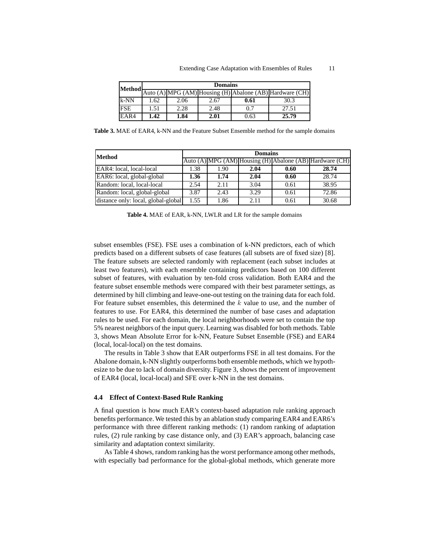| Method-    | <b>Domains</b> |      |      |      |                                                          |  |
|------------|----------------|------|------|------|----------------------------------------------------------|--|
|            |                |      |      |      | Auto (A) MPG (AM) Housing (H) Abalone (AB) Hardware (CH) |  |
| $k-NN$     | 1.62           | 2.06 | 2.67 | 0.61 | 30.3                                                     |  |
| <b>FSE</b> | 1.51           | 2.28 | 2.48 | 0.7  | 27.51                                                    |  |
| EAR4       | 1.42           | 1.84 | 2.01 | 0.63 | 25.79                                                    |  |

**Table 3.** MAE of EAR4, k-NN and the Feature Subset Ensemble method for the sample domains

| <b>Method</b>                       | <b>Domains</b> |      |      |      |                                                          |  |
|-------------------------------------|----------------|------|------|------|----------------------------------------------------------|--|
|                                     |                |      |      |      | Auto (A) MPG (AM) Housing (H) Abalone (AB) Hardware (CH) |  |
| EAR4: local, local-local            | 1.38           | 1.90 | 2.04 | 0.60 | 28.74                                                    |  |
| EAR6: local, global-global          | 1.36           | 1.74 | 2.04 | 0.60 | 28.74                                                    |  |
| Random: local, local-local          | 2.54           | 2.11 | 3.04 | 0.61 | 38.95                                                    |  |
| Random: local, global-global        | 3.87           | 2.43 | 3.29 | 0.61 | 72.86                                                    |  |
| distance only: local, global-global | 1.55           | 1.86 | 2.11 | 0.61 | 30.68                                                    |  |

**Table 4.** MAE of EAR, k-NN, LWLR and LR for the sample domains

subset ensembles (FSE). FSE uses a combination of k-NN predictors, each of which predicts based on a different subsets of case features (all subsets are of fixed size) [8]. The feature subsets are selected randomly with replacement (each subset includes at least two features), with each ensemble containing predictors based on 100 different subset of features, with evaluation by ten-fold cross validation. Both EAR4 and the feature subset ensemble methods were compared with their best parameter settings, as determined by hill climbing and leave-one-out testing on the training data for each fold. For feature subset ensembles, this determined the  $k$  value to use, and the number of features to use. For EAR4, this determined the number of base cases and adaptation rules to be used. For each domain, the local neighborhoods were set to contain the top 5% nearest neighbors of the input query. Learning was disabled for both methods. Table 3, shows Mean Absolute Error for k-NN, Feature Subset Ensemble (FSE) and EAR4 (local, local-local) on the test domains.

The results in Table 3 show that EAR outperforms FSE in all test domains. For the Abalone domain, k-NN slightly outperforms both ensemble methods, which we hypothesize to be due to lack of domain diversity. Figure 3, shows the percent of improvement of EAR4 (local, local-local) and SFE over k-NN in the test domains.

## **4.4 Effect of Context-Based Rule Ranking**

A final question is how much EAR's context-based adaptation rule ranking approach benefits performance. We tested this by an ablation study comparing EAR4 and EAR6's performance with three different ranking methods: (1) random ranking of adaptation rules, (2) rule ranking by case distance only, and (3) EAR's approach, balancing case similarity and adaptation context similarity.

As Table 4 shows, random ranking has the worst performance among other methods, with especially bad performance for the global-global methods, which generate more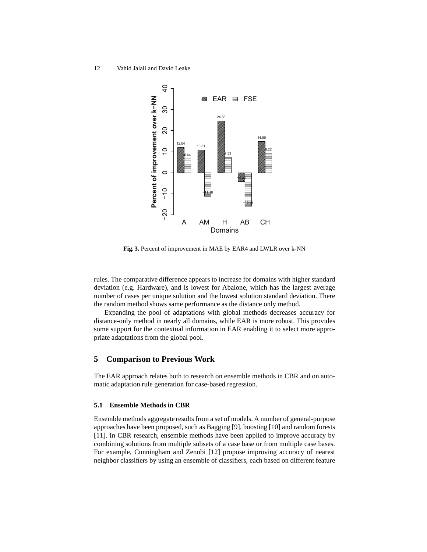#### 12 Vahid Jalali and David Leake



**Fig. 3.** Percent of improvement in MAE by EAR4 and LWLR over k-NN

rules. The comparative difference appears to increase for domains with higher standard deviation (e.g. Hardware), and is lowest for Abalone, which has the largest average number of cases per unique solution and the lowest solution standard deviation. There the random method shows same performance as the distance only method.

Expanding the pool of adaptations with global methods decreases accuracy for distance-only method in nearly all domains, while EAR is more robust. This provides some support for the contextual information in EAR enabling it to select more appropriate adaptations from the global pool.

## **5 Comparison to Previous Work**

The EAR approach relates both to research on ensemble methods in CBR and on automatic adaptation rule generation for case-based regression.

#### **5.1 Ensemble Methods in CBR**

Ensemble methods aggregate results from a set of models. A number of general-purpose approaches have been proposed, such as Bagging [9], boosting [10] and random forests [11]. In CBR research, ensemble methods have been applied to improve accuracy by combining solutions from multiple subsets of a case base or from multiple case bases. For example, Cunningham and Zenobi [12] propose improving accuracy of nearest neighbor classifiers by using an ensemble of classifiers, each based on different feature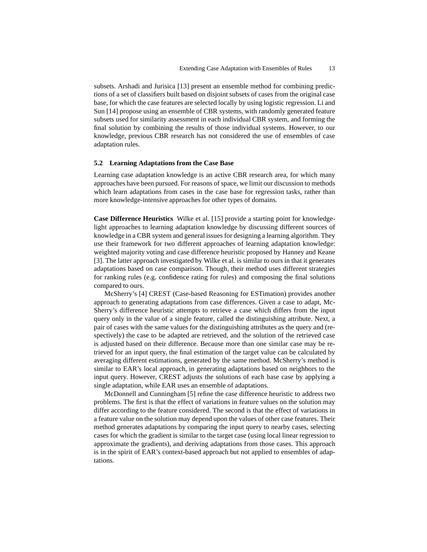subsets. Arshadi and Jurisica [13] present an ensemble method for combining predictions of a set of classifiers built based on disjoint subsets of cases from the original case base, for which the case features are selected locally by using logistic regression. Li and Sun [14] propose using an ensemble of CBR systems, with randomly generated feature subsets used for similarity assessment in each individual CBR system, and forming the final solution by combining the results of those individual systems. However, to our knowledge, previous CBR research has not considered the use of ensembles of case adaptation rules.

#### **5.2 Learning Adaptations from the Case Base**

Learning case adaptation knowledge is an active CBR research area, for which many approaches have been pursued. For reasons of space, we limit our discussion to methods which learn adaptations from cases in the case base for regression tasks, rather than more knowledge-intensive approaches for other types of domains.

**Case Difference Heuristics** Wilke et al. [15] provide a starting point for knowledgelight approaches to learning adaptation knowledge by discussing different sources of knowledge in a CBR system and general issues for designing a learning algorithm. They use their framework for two different approaches of learning adaptation knowledge: weighted majority voting and case difference heuristic proposed by Hanney and Keane [3]. The latter approach investigated by Wilke et al. is similar to ours in that it generates adaptations based on case comparison. Though, their method uses different strategies for ranking rules (e.g. confidence rating for rules) and composing the final solutions compared to ours.

McSherry's [4] CREST (Case-based Reasoning for ESTimation) provides another approach to generating adaptations from case differences. Given a case to adapt, Mc-Sherry's difference heuristic attempts to retrieve a case which differs from the input query only in the value of a single feature, called the distinguishing attribute. Next, a pair of cases with the same values for the distinguishing attributes as the query and (respectively) the case to be adapted are retrieved, and the solution of the retrieved case is adjusted based on their difference. Because more than one similar case may be retrieved for an input query, the final estimation of the target value can be calculated by averaging different estimations, generated by the same method. McSherry's method is similar to EAR's local approach, in generating adaptations based on neighbors to the input query. However, CREST adjusts the solutions of each base case by applying a single adaptation, while EAR uses an ensemble of adaptations.

McDonnell and Cunningham [5] refine the case difference heuristic to address two problems. The first is that the effect of variations in feature values on the solution may differ according to the feature considered. The second is that the effect of variations in a feature value on the solution may depend upon the values of other case features. Their method generates adaptations by comparing the input query to nearby cases, selecting cases for which the gradient is similar to the target case (using local linear regression to approximate the gradients), and deriving adaptations from those cases. This approach is in the spirit of EAR's context-based approach but not applied to ensembles of adaptations.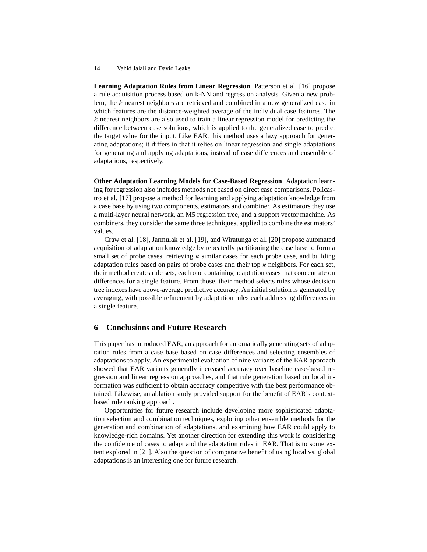14 Vahid Jalali and David Leake

**Learning Adaptation Rules from Linear Regression** Patterson et al. [16] propose a rule acquisition process based on k-NN and regression analysis. Given a new problem, the k nearest neighbors are retrieved and combined in a new generalized case in which features are the distance-weighted average of the individual case features. The  $k$  nearest neighbors are also used to train a linear regression model for predicting the difference between case solutions, which is applied to the generalized case to predict the target value for the input. Like EAR, this method uses a lazy approach for generating adaptations; it differs in that it relies on linear regression and single adaptations for generating and applying adaptations, instead of case differences and ensemble of adaptations, respectively.

**Other Adaptation Learning Models for Case-Based Regression** Adaptation learning for regression also includes methods not based on direct case comparisons. Policastro et al. [17] propose a method for learning and applying adaptation knowledge from a case base by using two components, estimators and combiner. As estimators they use a multi-layer neural network, an M5 regression tree, and a support vector machine. As combiners, they consider the same three techniques, applied to combine the estimators' values.

Craw et al. [18], Jarmulak et al. [19], and Wiratunga et al. [20] propose automated acquisition of adaptation knowledge by repeatedly partitioning the case base to form a small set of probe cases, retrieving  $k$  similar cases for each probe case, and building adaptation rules based on pairs of probe cases and their top  $k$  neighbors. For each set, their method creates rule sets, each one containing adaptation cases that concentrate on differences for a single feature. From those, their method selects rules whose decision tree indexes have above-average predictive accuracy. An initial solution is generated by averaging, with possible refinement by adaptation rules each addressing differences in a single feature.

## **6 Conclusions and Future Research**

This paper has introduced EAR, an approach for automatically generating sets of adaptation rules from a case base based on case differences and selecting ensembles of adaptations to apply. An experimental evaluation of nine variants of the EAR approach showed that EAR variants generally increased accuracy over baseline case-based regression and linear regression approaches, and that rule generation based on local information was sufficient to obtain accuracy competitive with the best performance obtained. Likewise, an ablation study provided support for the benefit of EAR's contextbased rule ranking approach.

Opportunities for future research include developing more sophisticated adaptation selection and combination techniques, exploring other ensemble methods for the generation and combination of adaptations, and examining how EAR could apply to knowledge-rich domains. Yet another direction for extending this work is considering the confidence of cases to adapt and the adaptation rules in EAR. That is to some extent explored in [21]. Also the question of comparative benefit of using local vs. global adaptations is an interesting one for future research.